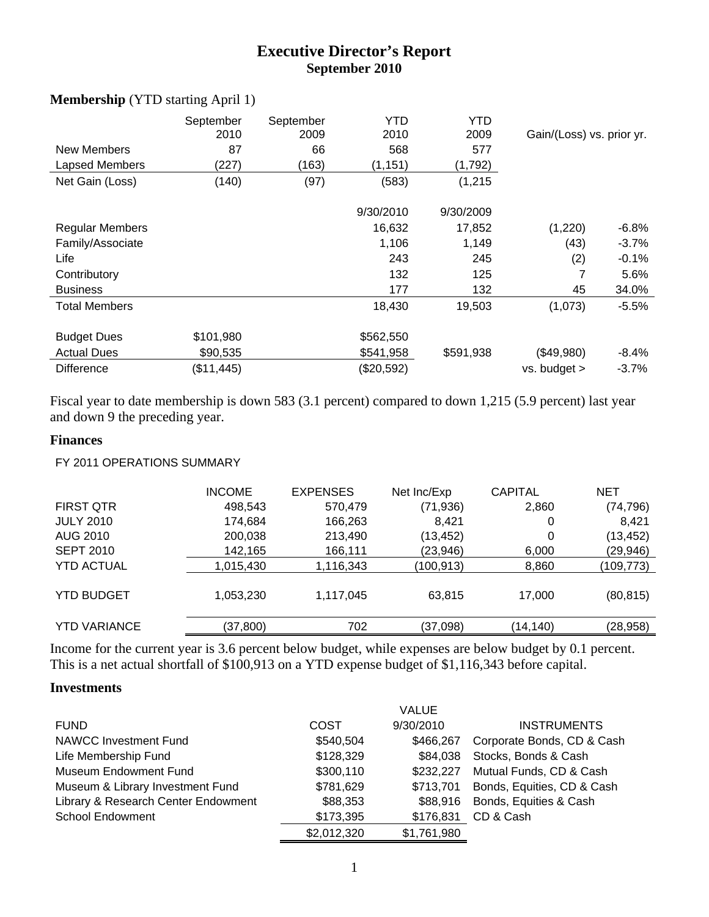# **Executive Director's Report September 2010**

| <b>New Members</b><br>Lapsed Members<br>Net Gain (Loss) | September<br>2010<br>87<br>(227)<br>(140) | September<br>2009<br>66<br>(163)<br>(97) | YTD<br>2010<br>568<br>(1, 151)<br>(583) | YTD<br>2009<br>577<br>(1,792)<br>(1, 215) | Gain/(Loss) vs. prior yr. |          |
|---------------------------------------------------------|-------------------------------------------|------------------------------------------|-----------------------------------------|-------------------------------------------|---------------------------|----------|
|                                                         |                                           |                                          |                                         |                                           |                           |          |
|                                                         |                                           |                                          | 9/30/2010                               | 9/30/2009                                 |                           |          |
| <b>Regular Members</b>                                  |                                           |                                          | 16,632                                  | 17,852                                    | (1,220)                   | $-6.8%$  |
| Family/Associate                                        |                                           |                                          | 1,106                                   | 1,149                                     | (43)                      | $-3.7\%$ |
| Life                                                    |                                           |                                          | 243                                     | 245                                       | (2)                       | -0.1%    |
| Contributory                                            |                                           |                                          | 132                                     | 125                                       | 7                         | 5.6%     |
| <b>Business</b>                                         |                                           |                                          | 177                                     | 132                                       | 45                        | 34.0%    |
| <b>Total Members</b>                                    |                                           |                                          | 18,430                                  | 19,503                                    | (1,073)                   | $-5.5\%$ |
| <b>Budget Dues</b>                                      | \$101,980                                 |                                          | \$562,550                               |                                           |                           |          |
| <b>Actual Dues</b>                                      | \$90,535                                  |                                          | \$541,958                               | \$591,938                                 | (\$49,980)                | $-8.4\%$ |
| <b>Difference</b>                                       | (\$11,445)                                |                                          | (\$20,592)                              |                                           | vs. budget >              | $-3.7\%$ |

#### **Membership** (YTD starting April 1)

Fiscal year to date membership is down 583 (3.1 percent) compared to down 1,215 (5.9 percent) last year and down 9 the preceding year.

#### **Finances**

#### FY 2011 OPERATIONS SUMMARY

|                     | <b>INCOME</b> | <b>EXPENSES</b> | Net Inc/Exp | <b>CAPITAL</b> | <b>NET</b> |
|---------------------|---------------|-----------------|-------------|----------------|------------|
| <b>FIRST QTR</b>    | 498,543       | 570,479         | (71, 936)   | 2,860          | (74, 796)  |
| <b>JULY 2010</b>    | 174,684       | 166,263         | 8.421       | 0              | 8,421      |
| AUG 2010            | 200,038       | 213,490         | (13, 452)   | 0              | (13, 452)  |
| <b>SEPT 2010</b>    | 142,165       | 166,111         | (23,946)    | 6,000          | (29,946)   |
| <b>YTD ACTUAL</b>   | 1,015,430     | 1,116,343       | (100, 913)  | 8,860          | (109,773)  |
| <b>YTD BUDGET</b>   | 1,053,230     | 1,117,045       | 63,815      | 17,000         | (80, 815)  |
| <b>YTD VARIANCE</b> | (37, 800)     | 702             | (37,098)    | (14,140)       | (28, 958)  |
|                     |               |                 |             |                |            |

Income for the current year is 3.6 percent below budget, while expenses are below budget by 0.1 percent. This is a net actual shortfall of \$100,913 on a YTD expense budget of \$1,116,343 before capital.

#### **Investments**

|                                     |             | <b>VALUE</b> |                            |
|-------------------------------------|-------------|--------------|----------------------------|
| <b>FUND</b>                         | <b>COST</b> | 9/30/2010    | <b>INSTRUMENTS</b>         |
| <b>NAWCC Investment Fund</b>        | \$540,504   | \$466,267    | Corporate Bonds, CD & Cash |
| Life Membership Fund                | \$128,329   | \$84,038     | Stocks, Bonds & Cash       |
| <b>Museum Endowment Fund</b>        | \$300,110   | \$232,227    | Mutual Funds, CD & Cash    |
| Museum & Library Investment Fund    | \$781,629   | \$713,701    | Bonds, Equities, CD & Cash |
| Library & Research Center Endowment | \$88,353    | \$88,916     | Bonds, Equities & Cash     |
| <b>School Endowment</b>             | \$173,395   | \$176,831    | CD & Cash                  |
|                                     | \$2,012,320 | \$1,761,980  |                            |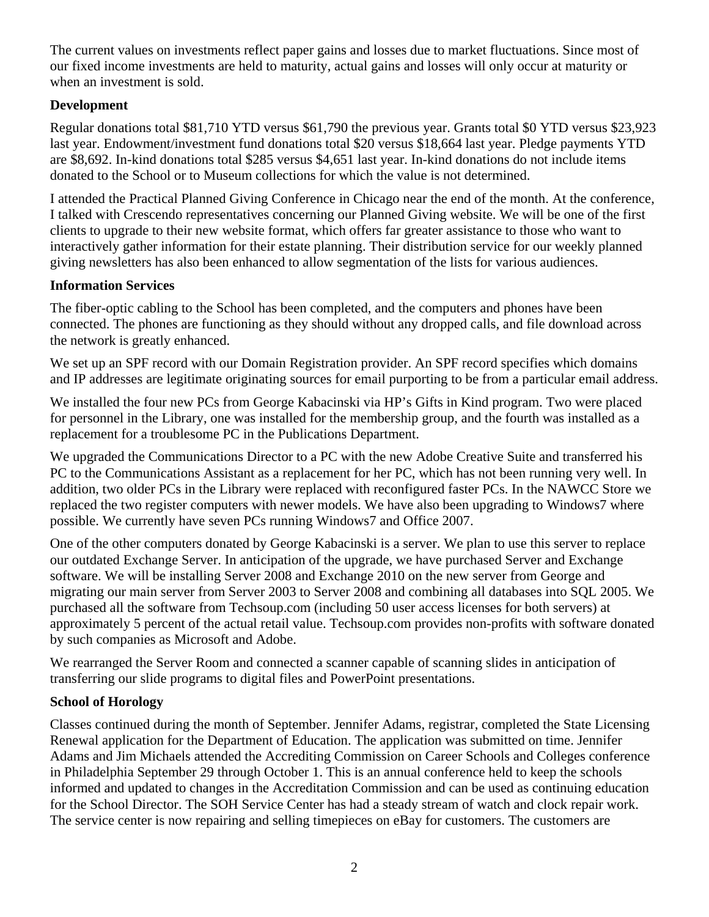The current values on investments reflect paper gains and losses due to market fluctuations. Since most of our fixed income investments are held to maturity, actual gains and losses will only occur at maturity or when an investment is sold.

### **Development**

Regular donations total \$81,710 YTD versus \$61,790 the previous year. Grants total \$0 YTD versus \$23,923 last year. Endowment/investment fund donations total \$20 versus \$18,664 last year. Pledge payments YTD are \$8,692. In-kind donations total \$285 versus \$4,651 last year. In-kind donations do not include items donated to the School or to Museum collections for which the value is not determined.

I attended the Practical Planned Giving Conference in Chicago near the end of the month. At the conference, I talked with Crescendo representatives concerning our Planned Giving website. We will be one of the first clients to upgrade to their new website format, which offers far greater assistance to those who want to interactively gather information for their estate planning. Their distribution service for our weekly planned giving newsletters has also been enhanced to allow segmentation of the lists for various audiences.

### **Information Services**

The fiber-optic cabling to the School has been completed, and the computers and phones have been connected. The phones are functioning as they should without any dropped calls, and file download across the network is greatly enhanced.

We set up an SPF record with our Domain Registration provider. An SPF record specifies which domains and IP addresses are legitimate originating sources for email purporting to be from a particular email address.

We installed the four new PCs from George Kabacinski via HP's Gifts in Kind program. Two were placed for personnel in the Library, one was installed for the membership group, and the fourth was installed as a replacement for a troublesome PC in the Publications Department.

We upgraded the Communications Director to a PC with the new Adobe Creative Suite and transferred his PC to the Communications Assistant as a replacement for her PC, which has not been running very well. In addition, two older PCs in the Library were replaced with reconfigured faster PCs. In the NAWCC Store we replaced the two register computers with newer models. We have also been upgrading to Windows7 where possible. We currently have seven PCs running Windows7 and Office 2007.

One of the other computers donated by George Kabacinski is a server. We plan to use this server to replace our outdated Exchange Server. In anticipation of the upgrade, we have purchased Server and Exchange software. We will be installing Server 2008 and Exchange 2010 on the new server from George and migrating our main server from Server 2003 to Server 2008 and combining all databases into SQL 2005. We purchased all the software from Techsoup.com (including 50 user access licenses for both servers) at approximately 5 percent of the actual retail value. Techsoup.com provides non-profits with software donated by such companies as Microsoft and Adobe.

We rearranged the Server Room and connected a scanner capable of scanning slides in anticipation of transferring our slide programs to digital files and PowerPoint presentations.

### **School of Horology**

Classes continued during the month of September. Jennifer Adams, registrar, completed the State Licensing Renewal application for the Department of Education. The application was submitted on time. Jennifer Adams and Jim Michaels attended the Accrediting Commission on Career Schools and Colleges conference in Philadelphia September 29 through October 1. This is an annual conference held to keep the schools informed and updated to changes in the Accreditation Commission and can be used as continuing education for the School Director. The SOH Service Center has had a steady stream of watch and clock repair work. The service center is now repairing and selling timepieces on eBay for customers. The customers are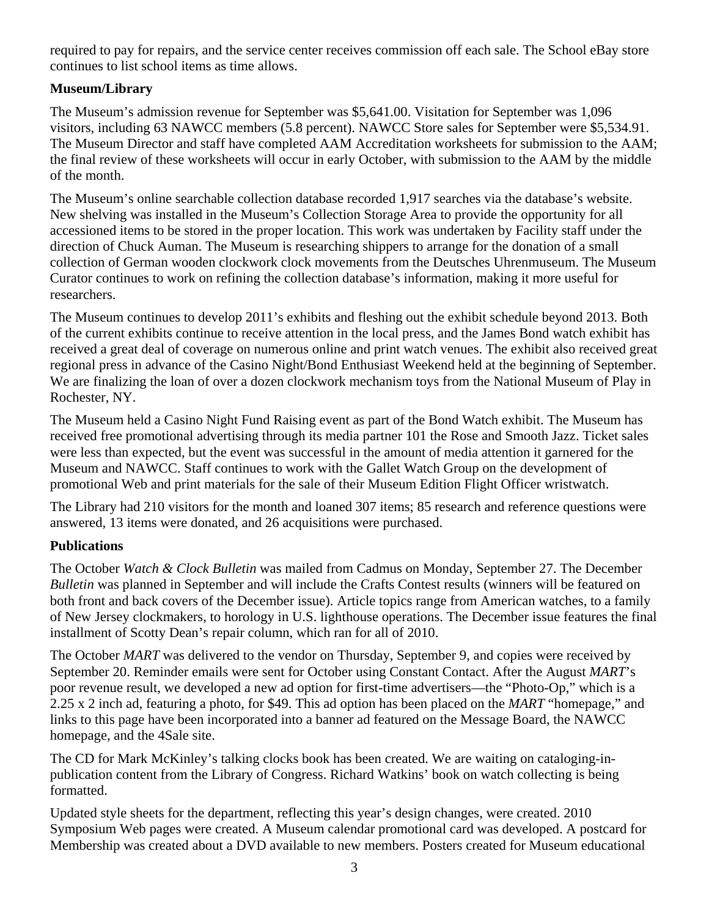required to pay for repairs, and the service center receives commission off each sale. The School eBay store continues to list school items as time allows.

## **Museum/Library**

The Museum's admission revenue for September was \$5,641.00. Visitation for September was 1,096 visitors, including 63 NAWCC members (5.8 percent). NAWCC Store sales for September were \$5,534.91. The Museum Director and staff have completed AAM Accreditation worksheets for submission to the AAM; the final review of these worksheets will occur in early October, with submission to the AAM by the middle of the month.

The Museum's online searchable collection database recorded 1,917 searches via the database's website. New shelving was installed in the Museum's Collection Storage Area to provide the opportunity for all accessioned items to be stored in the proper location. This work was undertaken by Facility staff under the direction of Chuck Auman. The Museum is researching shippers to arrange for the donation of a small collection of German wooden clockwork clock movements from the Deutsches Uhrenmuseum. The Museum Curator continues to work on refining the collection database's information, making it more useful for researchers.

The Museum continues to develop 2011's exhibits and fleshing out the exhibit schedule beyond 2013. Both of the current exhibits continue to receive attention in the local press, and the James Bond watch exhibit has received a great deal of coverage on numerous online and print watch venues. The exhibit also received great regional press in advance of the Casino Night/Bond Enthusiast Weekend held at the beginning of September. We are finalizing the loan of over a dozen clockwork mechanism toys from the National Museum of Play in Rochester, NY.

The Museum held a Casino Night Fund Raising event as part of the Bond Watch exhibit. The Museum has received free promotional advertising through its media partner 101 the Rose and Smooth Jazz. Ticket sales were less than expected, but the event was successful in the amount of media attention it garnered for the Museum and NAWCC. Staff continues to work with the Gallet Watch Group on the development of promotional Web and print materials for the sale of their Museum Edition Flight Officer wristwatch.

The Library had 210 visitors for the month and loaned 307 items; 85 research and reference questions were answered, 13 items were donated, and 26 acquisitions were purchased.

## **Publications**

The October *Watch & Clock Bulletin* was mailed from Cadmus on Monday, September 27. The December *Bulletin* was planned in September and will include the Crafts Contest results (winners will be featured on both front and back covers of the December issue). Article topics range from American watches, to a family of New Jersey clockmakers, to horology in U.S. lighthouse operations. The December issue features the final installment of Scotty Dean's repair column, which ran for all of 2010.

The October *MART* was delivered to the vendor on Thursday, September 9, and copies were received by September 20. Reminder emails were sent for October using Constant Contact. After the August *MART*'s poor revenue result, we developed a new ad option for first-time advertisers—the "Photo-Op," which is a 2.25 x 2 inch ad, featuring a photo, for \$49. This ad option has been placed on the *MART* "homepage," and links to this page have been incorporated into a banner ad featured on the Message Board, the NAWCC homepage, and the 4Sale site.

The CD for Mark McKinley's talking clocks book has been created. We are waiting on cataloging-inpublication content from the Library of Congress. Richard Watkins' book on watch collecting is being formatted.

Updated style sheets for the department, reflecting this year's design changes, were created. 2010 Symposium Web pages were created. A Museum calendar promotional card was developed. A postcard for Membership was created about a DVD available to new members. Posters created for Museum educational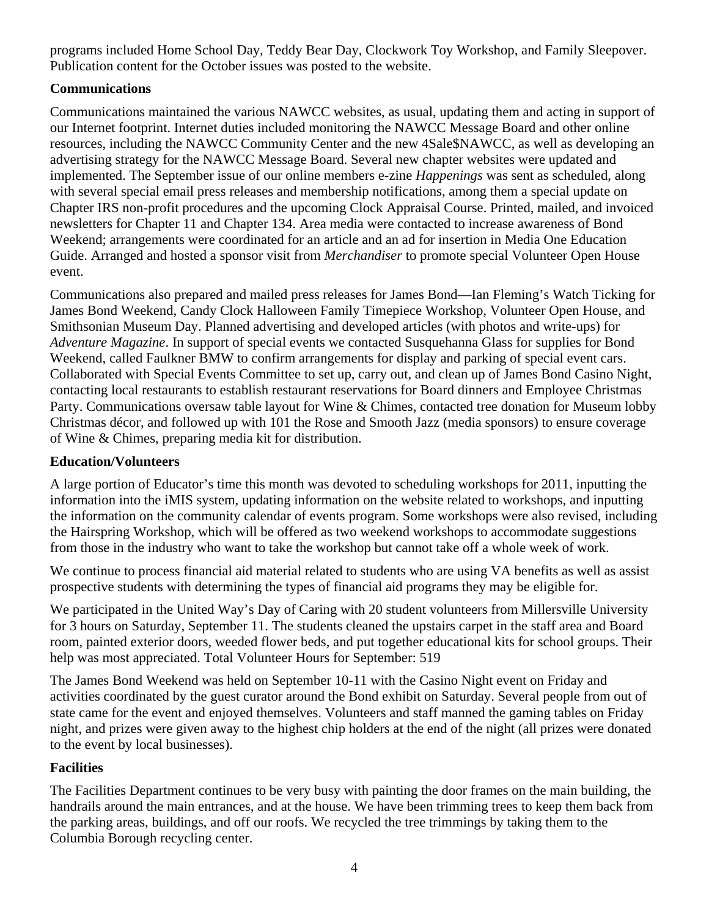programs included Home School Day, Teddy Bear Day, Clockwork Toy Workshop, and Family Sleepover. Publication content for the October issues was posted to the website.

### **Communications**

Communications maintained the various NAWCC websites, as usual, updating them and acting in support of our Internet footprint. Internet duties included monitoring the NAWCC Message Board and other online resources, including the NAWCC Community Center and the new 4Sale\$NAWCC, as well as developing an advertising strategy for the NAWCC Message Board. Several new chapter websites were updated and implemented. The September issue of our online members e-zine *Happenings* was sent as scheduled, along with several special email press releases and membership notifications, among them a special update on Chapter IRS non-profit procedures and the upcoming Clock Appraisal Course. Printed, mailed, and invoiced newsletters for Chapter 11 and Chapter 134. Area media were contacted to increase awareness of Bond Weekend; arrangements were coordinated for an article and an ad for insertion in Media One Education Guide. Arranged and hosted a sponsor visit from *Merchandiser* to promote special Volunteer Open House event.

Communications also prepared and mailed press releases for James Bond—Ian Fleming's Watch Ticking for James Bond Weekend, Candy Clock Halloween Family Timepiece Workshop, Volunteer Open House, and Smithsonian Museum Day. Planned advertising and developed articles (with photos and write-ups) for *Adventure Magazine*. In support of special events we contacted Susquehanna Glass for supplies for Bond Weekend, called Faulkner BMW to confirm arrangements for display and parking of special event cars. Collaborated with Special Events Committee to set up, carry out, and clean up of James Bond Casino Night, contacting local restaurants to establish restaurant reservations for Board dinners and Employee Christmas Party. Communications oversaw table layout for Wine & Chimes, contacted tree donation for Museum lobby Christmas décor, and followed up with 101 the Rose and Smooth Jazz (media sponsors) to ensure coverage of Wine & Chimes, preparing media kit for distribution.

### **Education/Volunteers**

A large portion of Educator's time this month was devoted to scheduling workshops for 2011, inputting the information into the iMIS system, updating information on the website related to workshops, and inputting the information on the community calendar of events program. Some workshops were also revised, including the Hairspring Workshop, which will be offered as two weekend workshops to accommodate suggestions from those in the industry who want to take the workshop but cannot take off a whole week of work.

We continue to process financial aid material related to students who are using VA benefits as well as assist prospective students with determining the types of financial aid programs they may be eligible for.

We participated in the United Way's Day of Caring with 20 student volunteers from Millersville University for 3 hours on Saturday, September 11. The students cleaned the upstairs carpet in the staff area and Board room, painted exterior doors, weeded flower beds, and put together educational kits for school groups. Their help was most appreciated. Total Volunteer Hours for September: 519

The James Bond Weekend was held on September 10-11 with the Casino Night event on Friday and activities coordinated by the guest curator around the Bond exhibit on Saturday. Several people from out of state came for the event and enjoyed themselves. Volunteers and staff manned the gaming tables on Friday night, and prizes were given away to the highest chip holders at the end of the night (all prizes were donated to the event by local businesses).

## **Facilities**

The Facilities Department continues to be very busy with painting the door frames on the main building, the handrails around the main entrances, and at the house. We have been trimming trees to keep them back from the parking areas, buildings, and off our roofs. We recycled the tree trimmings by taking them to the Columbia Borough recycling center.